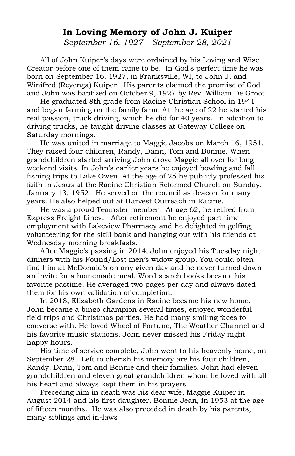## **In Loving Memory of John J. Kuiper**

*September 16, 1927 – September 28, 2021*

All of John Kuiper's days were ordained by his Loving and Wise Creator before one of them came to be. In God's perfect time he was born on September 16, 1927, in Franksville, WI, to John J. and Winifred (Reyenga) Kuiper. His parents claimed the promise of God and John was baptized on October 9, 1927 by Rev. William De Groot.

He graduated 8th grade from Racine Christian School in 1941 and began farming on the family farm. At the age of 22 he started his real passion, truck driving, which he did for 40 years. In addition to driving trucks, he taught driving classes at Gateway College on Saturday mornings.

He was united in marriage to Maggie Jacobs on March 16, 1951. They raised four children, Randy, Dann, Tom and Bonnie. When grandchildren started arriving John drove Maggie all over for long weekend visits. In John's earlier years he enjoyed bowling and fall fishing trips to Lake Owen. At the age of 25 he publicly professed his faith in Jesus at the Racine Christian Reformed Church on Sunday, January 13, 1952. He served on the council as deacon for many years. He also helped out at Harvest Outreach in Racine.

He was a proud Teamster member. At age 62, he retired from Express Freight Lines. After retirement he enjoyed part time employment with Lakeview Pharmacy and he delighted in golfing, volunteering for the skill bank and hanging out with his friends at Wednesday morning breakfasts.

After Maggie's passing in 2014, John enjoyed his Tuesday night dinners with his Found/Lost men's widow group. You could often find him at McDonald's on any given day and he never turned down an invite for a homemade meal. Word search books became his favorite pastime. He averaged two pages per day and always dated them for his own validation of completion.

In 2018, Elizabeth Gardens in Racine became his new home. John became a bingo champion several times, enjoyed wonderful field trips and Christmas parties. He had many smiling faces to converse with. He loved Wheel of Fortune, The Weather Channel and his favorite music stations. John never missed his Friday night happy hours.

His time of service complete, John went to his heavenly home, on September 28. Left to cherish his memory are his four children, Randy, Dann, Tom and Bonnie and their families. John had eleven grandchildren and eleven great grandchildren whom he loved with all his heart and always kept them in his prayers.

Preceding him in death was his dear wife, Maggie Kuiper in August 2014 and his first daughter, Bonnie Jean, in 1953 at the age of fifteen months. He was also preceded in death by his parents, many siblings and in-laws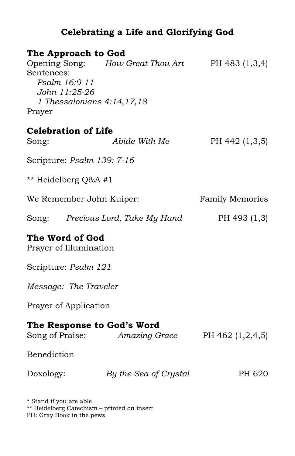## **Celebrating a Life and Glorifying God**

| The Approach to God                                                                         |                                   |                        |
|---------------------------------------------------------------------------------------------|-----------------------------------|------------------------|
| Opening Song:<br>Sentences:<br>Psalm 16:9-11<br>John 11:25-26<br>1 Thessalonians 4:14,17,18 | How Great Thou Art                | PH 483 (1,3,4)         |
| Prayer                                                                                      |                                   |                        |
| <b>Celebration of Life</b>                                                                  |                                   |                        |
| Song:                                                                                       | Abide With Me                     | PH 442 (1,3,5)         |
| Scripture: Psalm 139: 7-16                                                                  |                                   |                        |
| ** Heidelberg Q&A #1                                                                        |                                   |                        |
| We Remember John Kuiper:                                                                    |                                   | <b>Family Memories</b> |
|                                                                                             | Song: Precious Lord, Take My Hand | PH 493 (1,3)           |
| The Word of God<br>Prayer of Illumination                                                   |                                   |                        |
| Scripture: Psalm 121                                                                        |                                   |                        |
| Message: The Traveler                                                                       |                                   |                        |
| Prayer of Application                                                                       |                                   |                        |
| The Response to God's Word                                                                  | Song of Praise: Amazing Grace     | PH 462 (1,2,4,5)       |
| Benediction                                                                                 |                                   |                        |
| Doxology:                                                                                   | By the Sea of Crystal             | PH 620                 |

\* Stand if you are able \*\* Heidelberg Catechism – printed on insert PH: Gray Book in the pews